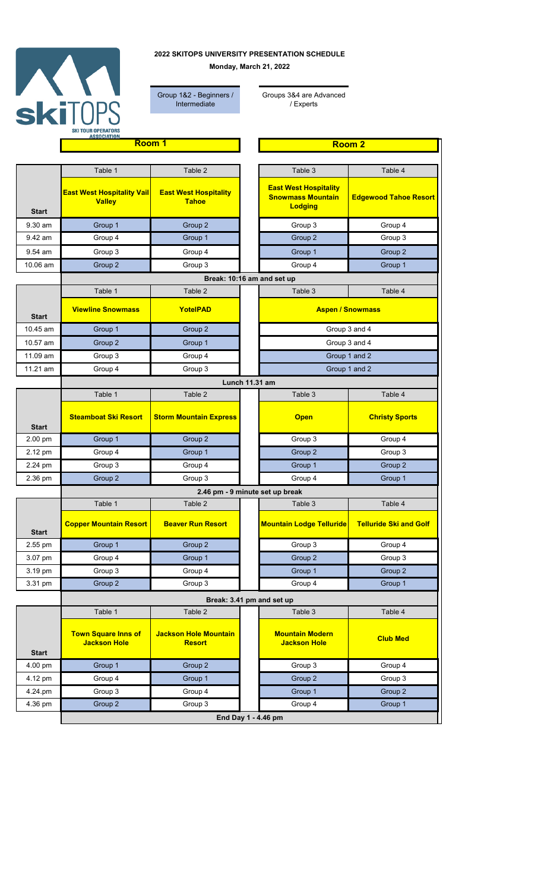

**Monday, March 21, 2022**



Group 1&2 - Beginners / Intermediate

Groups 3&4 are Advanced / Experts

|              | <b>ASSUCIATION</b><br>Room 1                       |                                               |  | Room <sub>2</sub>                                                          |                               |  |
|--------------|----------------------------------------------------|-----------------------------------------------|--|----------------------------------------------------------------------------|-------------------------------|--|
|              |                                                    |                                               |  |                                                                            |                               |  |
|              | Table 1                                            | Table 2                                       |  | Table 3                                                                    | Table 4                       |  |
| <b>Start</b> | <b>East West Hospitality Vail</b><br><b>Valley</b> | <b>East West Hospitality</b><br><b>Tahoe</b>  |  | <b>East West Hospitality</b><br><b>Snowmass Mountain</b><br><b>Lodging</b> | <b>Edgewood Tahoe Resort</b>  |  |
| 9.30 am      | Group 1                                            | Group 2                                       |  | Group 3                                                                    | Group 4                       |  |
| 9.42 am      | Group 4                                            | Group 1                                       |  | Group 2                                                                    | Group 3                       |  |
| 9.54 am      | Group 3                                            | Group 4                                       |  | Group 1                                                                    | Group 2                       |  |
| 10.06 am     | Group 2                                            | Group 3                                       |  | Group 4                                                                    | Group 1                       |  |
|              | Break: 10:16 am and set up                         |                                               |  |                                                                            |                               |  |
|              | Table 1                                            | Table 2                                       |  | Table 3                                                                    | Table 4                       |  |
| <b>Start</b> | <b>Viewline Snowmass</b>                           | <b>YotelPAD</b>                               |  | <b>Aspen / Snowmass</b>                                                    |                               |  |
| 10.45 am     | Group 1                                            | Group 2                                       |  | Group 3 and 4                                                              |                               |  |
| 10.57 am     | Group 2                                            | Group 1                                       |  | Group 3 and 4                                                              |                               |  |
| 11.09 am     | Group 3                                            | Group 4                                       |  | Group 1 and 2                                                              |                               |  |
| 11.21 am     | Group 4                                            | Group 3                                       |  | Group 1 and 2                                                              |                               |  |
|              | <b>Lunch 11.31 am</b>                              |                                               |  |                                                                            |                               |  |
|              | Table 1                                            | Table 2                                       |  | Table 3                                                                    | Table 4                       |  |
| <b>Start</b> | <b>Steamboat Ski Resort</b>                        | <b>Storm Mountain Express</b>                 |  | <b>Open</b>                                                                | <b>Christy Sports</b>         |  |
| 2.00 pm      | Group 1                                            | Group 2                                       |  | Group 3                                                                    | Group 4                       |  |
| 2.12 pm      | Group 4                                            | Group 1                                       |  | Group 2                                                                    | Group 3                       |  |
| 2.24 pm      | Group 3                                            | Group 4                                       |  | Group 1                                                                    | Group 2                       |  |
| 2.36 pm      | Group 2                                            | Group 3                                       |  | Group 4                                                                    | Group 1                       |  |
|              | 2.46 pm - 9 minute set up break                    |                                               |  |                                                                            |                               |  |
|              | Table 1                                            | Table 2                                       |  | Table 3                                                                    | Table 4                       |  |
| <b>Start</b> | <b>Copper Mountain Resort</b>                      | <b>Beaver Run Resort</b>                      |  | <b>Mountain Lodge Telluride</b>                                            | <b>Telluride Ski and Golf</b> |  |
| 2.55 pm      | Group 1                                            | Group 2                                       |  | Group 3                                                                    | Group 4                       |  |
| 3.07 pm      | Group 4                                            | Group 1                                       |  | Group 2                                                                    | Group 3                       |  |
| 3.19 pm      | Group 3                                            | Group 4                                       |  | Group 1                                                                    | Group 2                       |  |
| 3.31 pm      | Group 2                                            | Group 3                                       |  | Group 4                                                                    | Group 1                       |  |
|              | Break: 3.41 pm and set up                          |                                               |  |                                                                            |                               |  |
|              | Table 1                                            | Table 2                                       |  | Table 3                                                                    | Table 4                       |  |
| <b>Start</b> | <b>Town Square Inns of</b><br><b>Jackson Hole</b>  | <b>Jackson Hole Mountain</b><br><b>Resort</b> |  | <b>Mountain Modern</b><br><b>Jackson Hole</b>                              | <b>Club Med</b>               |  |
| 4.00 pm      | Group 1                                            | Group 2                                       |  | Group 3                                                                    | Group 4                       |  |
| 4.12 pm      | Group 4                                            | Group 1                                       |  | Group 2                                                                    | Group 3                       |  |
| 4.24 pm      | Group 3                                            | Group 4                                       |  | Group 1                                                                    | Group 2                       |  |
| 4.36 pm      | Group 2                                            | Group 3                                       |  | Group 4                                                                    | Group 1                       |  |
|              |                                                    | End Day 1 - 4.46 pm                           |  |                                                                            |                               |  |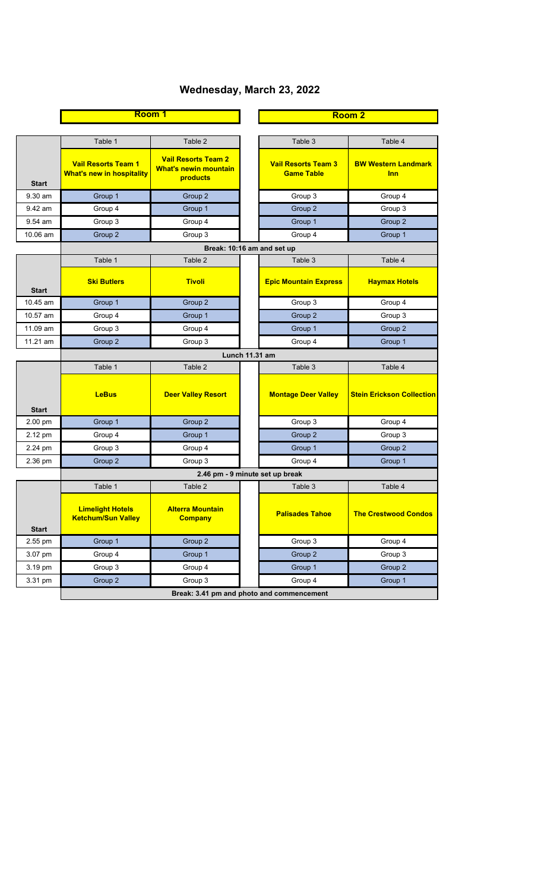# **Wednesday, March 23, 2022**

|              | Room 1                                                         |                                                                        | Room <sub>2</sub>                                                                    |  |  |  |
|--------------|----------------------------------------------------------------|------------------------------------------------------------------------|--------------------------------------------------------------------------------------|--|--|--|
|              |                                                                |                                                                        |                                                                                      |  |  |  |
|              | Table 1                                                        | Table 2                                                                | Table 3<br>Table 4                                                                   |  |  |  |
| <b>Start</b> | <b>Vail Resorts Team 1</b><br><b>What's new in hospitality</b> | <b>Vail Resorts Team 2</b><br><b>What's newin mountain</b><br>products | <b>Vail Resorts Team 3</b><br><b>BW Western Landmark</b><br><b>Game Table</b><br>Inn |  |  |  |
| $9.30$ am    | Group 1                                                        | Group 2                                                                | Group 3<br>Group 4                                                                   |  |  |  |
| 9.42 am      | Group 4                                                        | Group 1                                                                | Group 2<br>Group 3                                                                   |  |  |  |
| 9.54 am      | Group 3                                                        | Group 4                                                                | Group 1<br>Group 2                                                                   |  |  |  |
| 10.06 am     | Group 2                                                        | Group 3                                                                | Group 4<br>Group 1                                                                   |  |  |  |
|              | Break: 10:16 am and set up                                     |                                                                        |                                                                                      |  |  |  |
|              | Table 1                                                        | Table 2                                                                | Table 3<br>Table 4                                                                   |  |  |  |
| <b>Start</b> | <b>Ski Butlers</b>                                             | <b>Tivoli</b>                                                          | <b>Epic Mountain Express</b><br><b>Haymax Hotels</b>                                 |  |  |  |
| 10.45 am     | Group 1                                                        | Group 2                                                                | Group 3<br>Group 4                                                                   |  |  |  |
| 10.57 am     | Group 4                                                        | Group 1                                                                | Group 2<br>Group 3                                                                   |  |  |  |
| 11.09 am     | Group 3                                                        | Group 4                                                                | Group 1<br>Group 2                                                                   |  |  |  |
| 11.21 am     | Group 2                                                        | Group 3                                                                | Group 4<br>Group 1                                                                   |  |  |  |
|              | <b>Lunch 11.31 am</b>                                          |                                                                        |                                                                                      |  |  |  |
|              | Table 1                                                        | Table 2                                                                | Table 3<br>Table 4                                                                   |  |  |  |
| <b>Start</b> | <b>LeBus</b>                                                   | <b>Deer Valley Resort</b>                                              | <b>Montage Deer Valley</b><br><b>Stein Erickson Collection</b>                       |  |  |  |
| 2.00 pm      | Group 1                                                        | Group 2                                                                | Group 3<br>Group 4                                                                   |  |  |  |
| 2.12 pm      | Group 4                                                        | Group 1                                                                | Group 2<br>Group 3                                                                   |  |  |  |
| 2.24 pm      | Group 3                                                        | Group 4                                                                | Group 1<br>Group 2                                                                   |  |  |  |
| 2.36 pm      | Group 2                                                        | Group 3                                                                | Group 4<br>Group 1                                                                   |  |  |  |
|              | 2.46 pm - 9 minute set up break                                |                                                                        |                                                                                      |  |  |  |
|              | Table 1                                                        | Table 2                                                                | Table 3<br>Table 4                                                                   |  |  |  |
| <b>Start</b> | <b>Limelight Hotels</b><br><b>Ketchum/Sun Valley</b>           | <b>Alterra Mountain</b><br><b>Company</b>                              | <b>Palisades Tahoe</b><br><b>The Crestwood Condos</b>                                |  |  |  |
| 2.55 pm      | Group 1                                                        | Group 2                                                                | Group 3<br>Group 4                                                                   |  |  |  |
| 3.07 pm      | Group 4                                                        | Group 1                                                                | Group 3<br>Group 2                                                                   |  |  |  |
| 3.19 pm      | Group 3                                                        | Group 4                                                                | Group 1<br>Group 2                                                                   |  |  |  |
| 3.31 pm      | Group 2                                                        | Group 3                                                                | Group 4<br>Group 1                                                                   |  |  |  |
|              | Break: 3.41 pm and photo and commencement                      |                                                                        |                                                                                      |  |  |  |